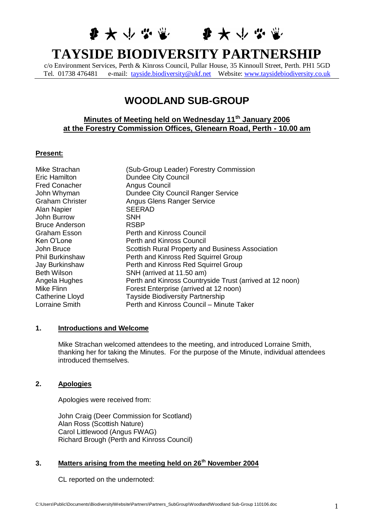## **少女小学堂** 要大少学堂

# **TAYSIDE BIODIVERSITY PARTNERSHIP**

c/o Environment Services, Perth & Kinross Council, Pullar House, 35 Kinnoull Street, Perth. PH1 5GD Tel. 01738 476481 e-mail: [tayside.biodiversity@ukf.net](mailto:tayside.biodiversity@ukf.net) Website: [www.taysidebiodiversity.co.uk](http://www.taysidebiodiversity.co.uk/)

## **WOODLAND SUB-GROUP**

## **Minutes of Meeting held on Wednesday 11th January 2006 at the Forestry Commission Offices, Glenearn Road, Perth - 10.00 am**

#### **Present:**

| Mike Strachan          | (Sub-Group Leader) Forestry Commission                   |
|------------------------|----------------------------------------------------------|
| Eric Hamilton          | <b>Dundee City Council</b>                               |
| <b>Fred Conacher</b>   | Angus Council                                            |
| John Whyman            | Dundee City Council Ranger Service                       |
| <b>Graham Christer</b> | <b>Angus Glens Ranger Service</b>                        |
| Alan Napier            | <b>SEERAD</b>                                            |
| John Burrow            | SNH                                                      |
| <b>Bruce Anderson</b>  | <b>RSBP</b>                                              |
| Graham Esson           | <b>Perth and Kinross Council</b>                         |
| Ken O'Lone             | Perth and Kinross Council                                |
| John Bruce             | Scottish Rural Property and Business Association         |
| <b>Phil Burkinshaw</b> | Perth and Kinross Red Squirrel Group                     |
| Jay Burkinshaw         | Perth and Kinross Red Squirrel Group                     |
| <b>Beth Wilson</b>     | SNH (arrived at 11.50 am)                                |
| Angela Hughes          | Perth and Kinross Countryside Trust (arrived at 12 noon) |
| Mike Flinn             | Forest Enterprise (arrived at 12 noon)                   |
| Catherine Lloyd        | <b>Tayside Biodiversity Partnership</b>                  |
| Lorraine Smith         | Perth and Kinross Council - Minute Taker                 |

#### **1. Introductions and Welcome**

Mike Strachan welcomed attendees to the meeting, and introduced Lorraine Smith, thanking her for taking the Minutes. For the purpose of the Minute, individual attendees introduced themselves.

## **2. Apologies**

Apologies were received from:

John Craig (Deer Commission for Scotland) Alan Ross (Scottish Nature) Carol Littlewood (Angus FWAG) Richard Brough (Perth and Kinross Council)

## **3. Matters arising from the meeting held on 26th November 2004**

CL reported on the undernoted: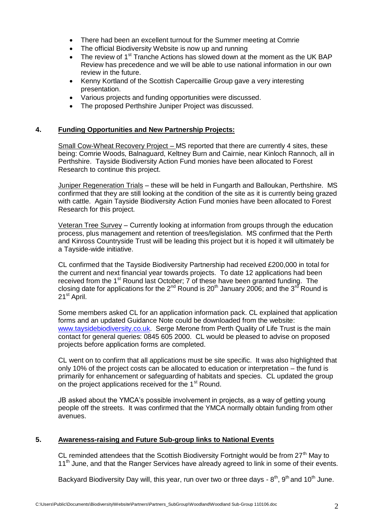- There had been an excellent turnout for the Summer meeting at Comrie
- The official Biodiversity Website is now up and running
- The review of 1<sup>st</sup> Tranche Actions has slowed down at the moment as the UK BAP Review has precedence and we will be able to use national information in our own review in the future.
- Kenny Kortland of the Scottish Capercaillie Group gave a very interesting presentation.
- Various projects and funding opportunities were discussed.
- The proposed Perthshire Juniper Project was discussed.

## **4. Funding Opportunities and New Partnership Projects:**

Small Cow-Wheat Recovery Project – MS reported that there are currently 4 sites, these being: Comrie Woods, Balnaguard, Keltney Burn and Cairnie, near Kinloch Rannoch, all in Perthshire. Tayside Biodiversity Action Fund monies have been allocated to Forest Research to continue this project.

Juniper Regeneration Trials – these will be held in Fungarth and Balloukan, Perthshire. MS confirmed that they are still looking at the condition of the site as it is currently being grazed with cattle. Again Tayside Biodiversity Action Fund monies have been allocated to Forest Research for this project.

Veteran Tree Survey – Currently looking at information from groups through the education process, plus management and retention of trees/legislation. MS confirmed that the Perth and Kinross Countryside Trust will be leading this project but it is hoped it will ultimately be a Tayside-wide initiative.

CL confirmed that the Tayside Biodiversity Partnership had received £200,000 in total for the current and next financial year towards projects. To date 12 applications had been received from the 1<sup>st</sup> Round last October; 7 of these have been granted funding. The closing date for applications for the 2<sup>nd</sup> Round is 20<sup>th</sup> January 2006; and the 3<sup>rd</sup> Round is 21<sup>st</sup> April.

Some members asked CL for an application information pack. CL explained that application forms and an updated Guidance Note could be downloaded from the website: [www.taysidebiodiversity.co.uk.](http://www.taysidebiodiversity.co.uk/) Serge Merone from Perth Quality of Life Trust is the main contact for general queries: 0845 605 2000. CL would be pleased to advise on proposed projects before application forms are completed.

CL went on to confirm that all applications must be site specific. It was also highlighted that only 10% of the project costs can be allocated to education or interpretation – the fund is primarily for enhancement or safeguarding of habitats and species. CL updated the group on the project applications received for the 1<sup>st</sup> Round.

JB asked about the YMCA's possible involvement in projects, as a way of getting young people off the streets. It was confirmed that the YMCA normally obtain funding from other avenues.

## **5. Awareness-raising and Future Sub-group links to National Events**

CL reminded attendees that the Scottish Biodiversity Fortnight would be from  $27<sup>th</sup>$  May to 11<sup>th</sup> June, and that the Ranger Services have already agreed to link in some of their events.

Backyard Biodiversity Day will, this year, run over two or three days -  $8<sup>th</sup>$ ,  $9<sup>th</sup>$  and 10<sup>th</sup> June.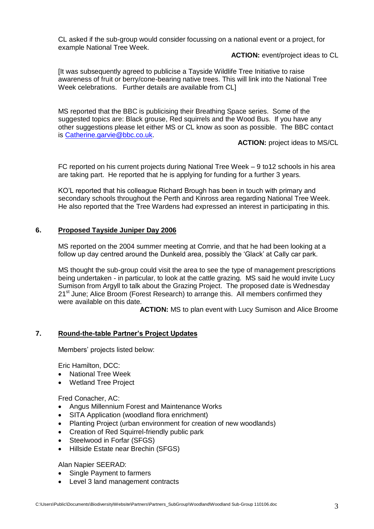CL asked if the sub-group would consider focussing on a national event or a project, for example National Tree Week.

**ACTION:** event/project ideas to CL

[It was subsequently agreed to publicise a Tayside Wildlife Tree Initiative to raise awareness of fruit or berry/cone-bearing native trees. This will link into the National Tree Week celebrations. Further details are available from CL]

MS reported that the BBC is publicising their Breathing Space series. Some of the suggested topics are: Black grouse, Red squirrels and the Wood Bus. If you have any other suggestions please let either MS or CL know as soon as possible. The BBC contact is [Catherine.garvie@bbc.co.uk.](mailto:Catherine.garvie@bbc.co.uk)

**ACTION:** project ideas to MS/CL

FC reported on his current projects during National Tree Week – 9 to12 schools in his area are taking part. He reported that he is applying for funding for a further 3 years.

KO'L reported that his colleague Richard Brough has been in touch with primary and secondary schools throughout the Perth and Kinross area regarding National Tree Week. He also reported that the Tree Wardens had expressed an interest in participating in this.

## **6. Proposed Tayside Juniper Day 2006**

MS reported on the 2004 summer meeting at Comrie, and that he had been looking at a follow up day centred around the Dunkeld area, possibly the 'Glack' at Cally car park.

MS thought the sub-group could visit the area to see the type of management prescriptions being undertaken - in particular, to look at the cattle grazing. MS said he would invite Lucy Sumison from Argyll to talk about the Grazing Project. The proposed date is Wednesday 21<sup>st</sup> June; Alice Broom (Forest Research) to arrange this. All members confirmed they were available on this date.

**ACTION:** MS to plan event with Lucy Sumison and Alice Broome

## **7. Round-the-table Partner's Project Updates**

Members' projects listed below:

Eric Hamilton, DCC:

- National Tree Week
- Wetland Tree Project

Fred Conacher, AC:

- Angus Millennium Forest and Maintenance Works
- SITA Application (woodland flora enrichment)
- Planting Project (urban environment for creation of new woodlands)
- Creation of Red Squirrel-friendly public park
- Steelwood in Forfar (SFGS)
- Hillside Estate near Brechin (SFGS)

Alan Napier SEERAD:

- Single Payment to farmers
- Level 3 land management contracts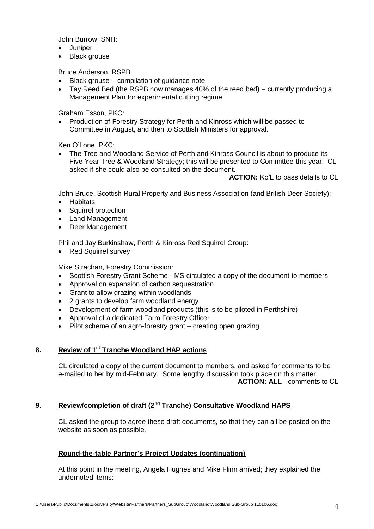John Burrow, SNH:

- Juniper
- Black grouse

Bruce Anderson, RSPB

- Black grouse compilation of guidance note
- Tay Reed Bed (the RSPB now manages 40% of the reed bed) currently producing a Management Plan for experimental cutting regime

Graham Esson, PKC:

• Production of Forestry Strategy for Perth and Kinross which will be passed to Committee in August, and then to Scottish Ministers for approval.

Ken O'Lone, PKC:

 The Tree and Woodland Service of Perth and Kinross Council is about to produce its Five Year Tree & Woodland Strategy; this will be presented to Committee this year. CL asked if she could also be consulted on the document.

**ACTION:** Ko'L to pass details to CL

John Bruce, Scottish Rural Property and Business Association (and British Deer Society):

- Habitats
- Squirrel protection
- Land Management
- Deer Management

Phil and Jay Burkinshaw, Perth & Kinross Red Squirrel Group:

• Red Squirrel survey

Mike Strachan, Forestry Commission:

- Scottish Forestry Grant Scheme MS circulated a copy of the document to members
- Approval on expansion of carbon sequestration
- Grant to allow grazing within woodlands
- 2 grants to develop farm woodland energy
- Development of farm woodland products (this is to be piloted in Perthshire)
- Approval of a dedicated Farm Forestry Officer
- Pilot scheme of an agro-forestry grant creating open grazing

## **8. Review of 1st Tranche Woodland HAP actions**

CL circulated a copy of the current document to members, and asked for comments to be e-mailed to her by mid-February. Some lengthy discussion took place on this matter. **ACTION: ALL** - comments to CL

## **9. Review/completion of draft (2nd Tranche) Consultative Woodland HAPS**

CL asked the group to agree these draft documents, so that they can all be posted on the website as soon as possible.

## **Round-the-table Partner's Project Updates (continuation)**

At this point in the meeting, Angela Hughes and Mike Flinn arrived; they explained the undernoted items: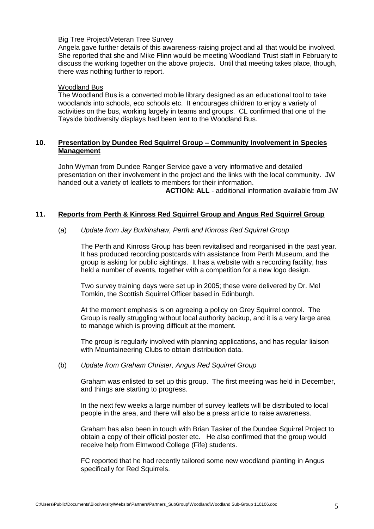### Big Tree Project/Veteran Tree Survey

Angela gave further details of this awareness-raising project and all that would be involved. She reported that she and Mike Flinn would be meeting Woodland Trust staff in February to discuss the working together on the above projects. Until that meeting takes place, though, there was nothing further to report.

#### Woodland Bus

The Woodland Bus is a converted mobile library designed as an educational tool to take woodlands into schools, eco schools etc. It encourages children to enjoy a variety of activities on the bus, working largely in teams and groups. CL confirmed that one of the Tayside biodiversity displays had been lent to the Woodland Bus.

## **10. Presentation by Dundee Red Squirrel Group – Community Involvement in Species Management**

John Wyman from Dundee Ranger Service gave a very informative and detailed presentation on their involvement in the project and the links with the local community. JW handed out a variety of leaflets to members for their information.

**ACTION: ALL** - additional information available from JW

## **11. Reports from Perth & Kinross Red Squirrel Group and Angus Red Squirrel Group**

### (a) *Update from Jay Burkinshaw, Perth and Kinross Red Squirrel Group*

The Perth and Kinross Group has been revitalised and reorganised in the past year. It has produced recording postcards with assistance from Perth Museum, and the group is asking for public sightings. It has a website with a recording facility, has held a number of events, together with a competition for a new logo design.

Two survey training days were set up in 2005; these were delivered by Dr. Mel Tomkin, the Scottish Squirrel Officer based in Edinburgh.

At the moment emphasis is on agreeing a policy on Grey Squirrel control. The Group is really struggling without local authority backup, and it is a very large area to manage which is proving difficult at the moment.

The group is regularly involved with planning applications, and has regular liaison with Mountaineering Clubs to obtain distribution data.

#### (b) *Update from Graham Christer, Angus Red Squirrel Group*

Graham was enlisted to set up this group. The first meeting was held in December, and things are starting to progress.

In the next few weeks a large number of survey leaflets will be distributed to local people in the area, and there will also be a press article to raise awareness.

Graham has also been in touch with Brian Tasker of the Dundee Squirrel Project to obtain a copy of their official poster etc. He also confirmed that the group would receive help from Elmwood College (Fife) students.

FC reported that he had recently tailored some new woodland planting in Angus specifically for Red Squirrels.